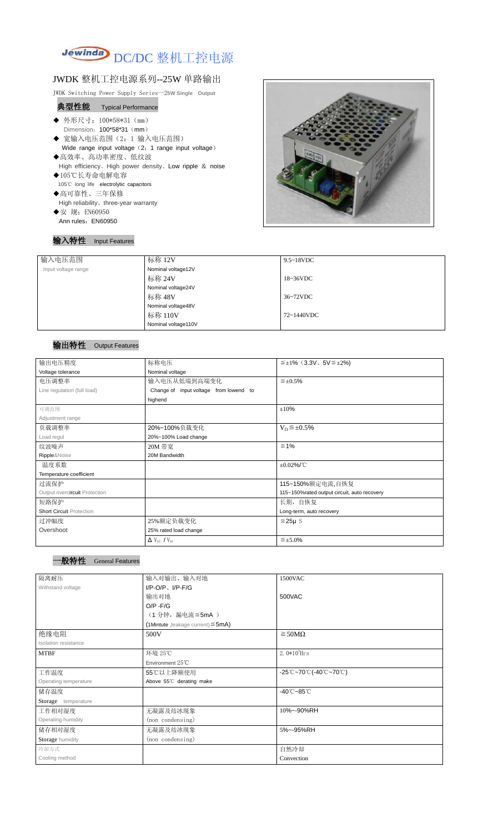

# JWDK 整机工控电源系列--25W 单路输出

JWDK Switching Power Supply Series--2**5W Single Output**

## 典型性能Typical Performance

- ◆ 外形尺寸: 100\*58\*31 (mm) Dimension: 100\*58\*31 (mm)
- ◆ 宽输入电压范围(2: 1 输入电压范围) Wide range input voltage (2: 1 range input voltage)
- ◆高效率、高功率密度、低纹波 High efficiency、High power density、Low ripple & noise
- ◆105℃长寿命电解电容 105℃ long life electrolytic capacitors
- ◆高可靠性、三年保修 High reliability、three-year warranty ◆安 规: EN60950
- Ann rules: EN60950

## 输入特性 Input Features



| 输入电压范围              | 标称 12V              | $9.5 - 18$ VDC      |  |
|---------------------|---------------------|---------------------|--|
| Input voltage range | Nominal voltage12V  |                     |  |
|                     | 标称 24V              | $18~36\textrm{VDC}$ |  |
|                     | Nominal voltage24V  |                     |  |
|                     | 标称 48V              | 36~72VDC            |  |
|                     | Nominal voltage48V  |                     |  |
|                     | 标称 110V             | 72~1440VDC          |  |
|                     | Nominal voltage110V |                     |  |

## 输出特性 Output Features

## 一般特性 General Features

| 输出电压精度                          | 标称电压                                      | $\leq \pm 1\%$ (3.3V, 5V $\leq \pm 2\%$ )   |  |
|---------------------------------|-------------------------------------------|---------------------------------------------|--|
| Voltage tolerance               | Nominal voltage                           |                                             |  |
| 电压调整率                           | 输入电压从低端到高端变化                              | $\leq \pm 0.5\%$                            |  |
| Line regulation (full load)     | Change of input voltage from lowend to    |                                             |  |
|                                 | highend                                   |                                             |  |
| 可调范围                            |                                           | $\pm 10\%$                                  |  |
| Adjustment range                |                                           |                                             |  |
| 负载调整率                           | 20%~100%负载变化                              | $V_0 \leq \pm 0.5\%$                        |  |
| Load regul                      | 20%~100% Load change                      |                                             |  |
| 纹波噪声                            | 20M 带宽                                    | $\leq 1\%$                                  |  |
| Ripple&Noise                    | 20M Bandwidth                             |                                             |  |
| 温度系数                            |                                           | $\pm 0.02\%$ /°C                            |  |
| Temperature coefficient         |                                           |                                             |  |
| 过流保护                            |                                           | 115~150%额定电流,自恢复                            |  |
| Output overcircuit Protection   |                                           | 115~150%rated output circuit, auto recovery |  |
| 短路保护                            |                                           | 长期, 自恢复                                     |  |
| <b>Short Circuit Protection</b> |                                           | Long-term, auto recovery                    |  |
| 过冲幅度                            | 25%额定负载变化                                 | $≤25\mu$ S                                  |  |
| Overshoot                       | 25% rated load change                     |                                             |  |
|                                 | $\Delta$ V <sub>01</sub> /V <sub>01</sub> | $\leq \pm 5.0\%$                            |  |

| 隔离耐压                  | 输入对输出、输入对地                              | 1500VAC                                                                               |
|-----------------------|-----------------------------------------|---------------------------------------------------------------------------------------|
| Withstand voltage     | $I/P$ -O/P, $I/P$ -F/G                  |                                                                                       |
|                       | 输出对地                                    | 500VAC                                                                                |
|                       | $O/P - F/G$                             |                                                                                       |
|                       | (1分钟, 漏电流 ≦5mA)                         |                                                                                       |
|                       | (1Mintute, leakage current) $\leq$ 5mA) |                                                                                       |
| 绝缘电阻                  | 500V                                    | $\geq$ 50M $\Omega$                                                                   |
| Isolation resistance  |                                         |                                                                                       |
| <b>MTBF</b>           | 环境 25℃                                  | $2.0*10^5$ Hrs                                                                        |
|                       | Environment $25^{\circ}$ C              |                                                                                       |
| 工作温度                  | 55℃以上降额使用                               | $-25^{\circ}\text{C}-70^{\circ}\text{C}$ (-40 $^{\circ}\text{C}-70^{\circ}\text{C}$ ) |
| Operating temperature | Above 55°C derating make                |                                                                                       |
| 储存温度                  |                                         | $-40^{\circ}$ C $-85^{\circ}$ C                                                       |
| Storage temperature   |                                         |                                                                                       |
| 工作相对湿度                | 无凝露及结冰现象                                | 10%~-90%RH                                                                            |
| Operating humidity    | (non condensing)                        |                                                                                       |
| 储存相对湿度                | 无凝露及结冰现象                                | 5%~-95%RH                                                                             |
| Storage humidity      | (non condensing)                        |                                                                                       |
| 冷却方式                  |                                         | 自然冷却                                                                                  |
| Cooling method        |                                         | Convection                                                                            |